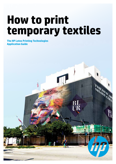# **How to print temporary textiles**

**The HP Latex Printing Technologies Application Guide**

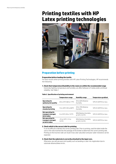# **Printing textiles with HP Latex printing technologies**



# **Preparation before printing**

#### **Preparation before loading the textile**

For best results when printing textiles with HP Latex Printing Technologies, HP recommends the following:

#### **1. Check that temperature/humidity in the room are within the recommended range**

Extremely high/low temperature and humidity can affect behavior of media and/or printhead reliability. See Table 2

#### **Table 2. Specification of printing environment**

|                                                             | Temperature range                       | <b>Humidity range</b>                    | Temperature gradient    |
|-------------------------------------------------------------|-----------------------------------------|------------------------------------------|-------------------------|
| Operating for<br>optimal print quality                      | 20 to 25°C (68 to 77°F)                 | 40 to 60% Relative<br>Humidity           | 10°C/h (50°F/h) or less |
| Operating for<br>standard printing                          | 15 to 30°C (59 to 86°F)                 | 20 to 70% Relative<br>Humidity           | 10°C/h (50°F/h) or less |
| Not operating (in<br>transport storage),<br>ink in tubes    | 5 to 55°C (41to 131°F)                  | 90% Relative Humidity<br>at 55°C (131°F) | 10°C/h (50°F/h) or less |
| Not operating (in<br>transport storage),<br>no ink in tubes | -25 to 55°C (-13 to<br>$131^{\circ}$ F) | 90% Relative Humidity<br>at 55°C (131°F) | 10°C/h (50°F/h) or less |

#### **2. Check which is the correct side for printing**

It can be difficult to identify the correct printing side. Prior to printing, read the label inside the core or the note inserted into the package of the textile to determine the correct printing side. Printing on the incorrect side can result in low color saturation and poor water resistance can be expected.

#### **3. Check that the substrate is correctly attached to the input core.**

Otherwise, you will see poor print quality such as banding or color mis-registration due to substrate advance/skew errors.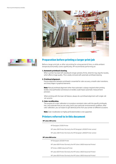



# **Preparation before printing a larger print job**

Before a larger print job, or after not printing for a long period of time, or while ambient temperature/humidity varies significantly, HP recommends performing an:

#### **1. Automatic printhead cleaning.**

When a printer has been left standing for longer periods of time, dried ink may clog the nozzles, which affects image quality. This is easily removed with automatic printhead cleaning.

#### **2. Printhead alignment.**

Precise alignment between printheads is essential for color accuracy, smooth color transitions, and sharp edges in graphical elements.

**Note:** Manual printhead alignment other than automatic is always required when printing textiles since perforation and texture on textiles could impact automatic measurement precision.

When printing with the dual-roll feature, always do a printhead alignment with single-roll set-up prior.

#### **3. Color recalibration.**

The purpose of a color calibration is to produce consistent colors with the specific printheads, inks, and substrate that you are using, and in your particular environmental conditions. After color calibration, you can expect to get identical prints from your printer on different occasions

**Note:** Color recalibration on highly perforated textiles is not supported.

# **Printers referred to in this document**

#### **HP Latex 200 series**

HP Designjet 25500 Printer

HP Latex 260 Printer (formerly the HP Designjet L26500 Printer series)

HP Latex 280 Printer (formerly the HP Designjet L28500 Printer series)

#### **HP Latex 800 series**

HP Designjet L65500 Printer

HP Latex 600 Printer (formerly the HP Scitex LX600 Industrial Printer)

HP Scitex LX800 Industrial Printer

HP Latex 820 Printer (formerly the HP Scitex LX820 Industrial Printer)

HP Latex 850 Printer (formerly the HP Scitex LX850 Industrial Printer)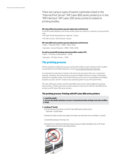There are various types of parent substrates listed in the "Internal Print Server" (HP Latex 800 series printers) or in the "RIP Interface" (HP Latex 200 series printers) related to printing textiles.

#### **HP Latex 200 series printers parent substrates and ink level**

In the RIP profile database, the textile profiles below are ready for customers to copy and fine tune.

- HP Light Textile Display Banner: High Ink; 12 pass
- HP Satin Canvas : Normal level; 16 pass

#### **HP Latex 800 series printers parent substrates and ink level**

- Fabric Polyester Fabric –100%, 150%, 250%
- Specialty- Canvas Polyester –100%, 150%, 250%

#### **As well as tested HP printing material profiles ready in IPS**

- Fabric HP Heavy Textile Banner 250%
- Specialty HP Satin Canvas 150%

# **The printing process**

HP has worked to simplify the process and therefore offers printer settings and ICC profiles to download from the Media Solutions Locator [hp.com/go/mediasolutionslocator.](http://www.hp.com/go/mediasolutionslocator)

It is important to note that no textile is the same: they all require their own, customized settings. Therefore, HP recommends accessing the Media Solutions Locator to download settings for available media. If the textile that you want to use is not available on the Media Solutions Locator, see the "Create a new substrate guide" for your HP Latex Printer.

HP Latex 200 series printers and HP Latex 800 series printers follow different processes when printing. Please see the instructions below on how to print with HP Latex 800 series printers and HP Latex 200 series printers.

### **The printing process: Printing with HP Latex 800 series printers**

**1. Load the media**

**2. Access the Media Solutions Locator to download media settings and color profiles 3. Print**

#### **1. Loading of Textile**

a) In the Internal Print Server on the HP Latex 800 series printers go to: Substrate> Load/Unload.

b) Keep the media smooth and taught and make sure that there are no wrinkles or creases.

- c) Avoid telescoping on the input roll.
- d) Install the ink collector kit before printing on porous textiles (available only on HP Scitex LX800 Industrial and HP Latex 850 printers).

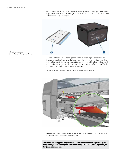You must install the ink collector kit (as pictured below) provided with your printer to protect the printer from the ink that falls through the porous textile. The kit must be removed before printing on non-porous substrates.



The foams in the collector act as a sponge, gradually absorbing more and more ink. When the ink reaches the level of the ink collector ribs, the ink may begin to touch the bottom of the substrate, leaving marks. At this point, you should replace the foams with new ones. In normal usage conditions, foams should be replaced after printing 50 rolls, assuming the material is a textile with 20% porosity.

The figure below shows a printer with a one-piece ink collector installed.



For further details on the ink collector, please see HP Scitex LX800 Industrial and HP Latex 850 printers User Guide and Maintenance Guide

**The ink collector supports flag and mesh substrates that have a weight ≥ 100 g/m<sup>2</sup> , and porosity ≤ 20%. More open weave substrates (such as voile, mesh, sprinkler, or taft) are not supported.**

- 1 Ink collector container
- 2 8-ink collector with replaceable foam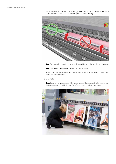e) Follow loading instructions to place the curing plate in a horizontal position (for the HP Scitex LX800 Industrial and HP Latex 600/820/850 printers), before printing.



**Note**: The curing plate should be kept in the down position when the ink collector is installed.

**Note:** This does not apply for the HP Designjet L65500 Printer.

f) Make sure that the position of the media in the input and output is well aligned. If necessary, unload and reload the media.

g) Load media.

**Note:** If you have an unexpected problem at any stage of the substrate loading process, see the Maintenance and Troubleshooting Guide for your corresponding printer model.

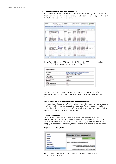#### **2. Download media settings and color profiles**

Access the Media Solutions Locator website and download the printing presets (an OMS file) that must be imported into your printer through EWS (Embedded Web Server). Also download the .ICC file that must be imported into your RIP.

| 32 lagers | AT LINKS                                                   |                              | SAP NONEA                         |                                | future? It excells from a |              | DANN CALING TINE                               |              |                                | <b>STAND SANTA</b>             |
|-----------|------------------------------------------------------------|------------------------------|-----------------------------------|--------------------------------|---------------------------|--------------|------------------------------------------------|--------------|--------------------------------|--------------------------------|
|           |                                                            | 17 Label 239 / HP Schen 1:10 | Belent a supplet                  |                                | Select a grade            |              | <b>Beauty</b>                                  |              |                                | Berthal Link                   |
|           | NF Higgin Selutean Locator - Nember of vocambi-fused : ABL |                              |                                   |                                |                           |              |                                                |              |                                |                                |
|           |                                                            |                              |                                   |                                |                           |              |                                                |              |                                | <b><i>DANIE PERMINE SE</i></b> |
|           |                                                            |                              |                                   |                                |                           | Division     |                                                |              |                                |                                |
| ٠         | <b>Decisi Resear</b>                                       | <b>P. Sularest</b>           | Tuke                              | Ore or                         | Advisormer &              | <b>MAAAN</b> | Regard                                         | <b>CRAAF</b> | Velington                      |                                |
|           | <b>IF Personant Dises Adressed V LLT</b>                   |                              | <b>Talfadimeire</b>               |                                | Tisff eignege             |              | UP Laten DSS (1) Street Avenue 11/2            |              |                                |                                |
|           | HP Light Textile Disclose Renown                           | ÷                            | <b>Toutle</b>                     | <b><i><u>Following</u></i></b> | <b>Bull equippe</b>       |              | 10 Lates \$10 (1) Such America 100             |              |                                |                                |
|           | <b>10 Family Tackle Starrer</b>                            | 나                            | <b>Touth</b>                      | <b>Bulundar</b>                | <b>Buff eighinger</b>     |              | 10 Lates \$10.11 Stock Avenue 100              |              |                                |                                |
|           | HF Durate Fronti Sorie Basier                              | 12                           | Baltiman                          | Flights PuC.                   | <b>Ball legislage</b>     |              | 10 Later 232 in Stoll Admits, 188              |              |                                |                                |
|           | <b>HP Complete Format Bankran</b>                          | w.                           | Earlist                           | Triali                         | <b>Buff is longible</b>   |              | <b>HRILAINH STELLY: JOAN ROOTH AND HRI</b>     |              |                                |                                |
|           | Figure Bacot                                               | Dapan                        | <b>Textile</b>                    | Potreidad                      | <b>Buff is brimper</b>    |              | <b>HFLalan SSS In Europe Middle E</b>          |              |                                |                                |
|           | 101-Mache Sull Heapt 1243                                  | L'Estina                     | Texton                            | <b>Billywalki</b>              | SUS equippe               |              | <b>AT LAND THE FULLION AMOUNT AT</b>           |              |                                |                                |
|           | THOMAS LEW PARTS PR                                        | Jumer's Ellisten             | Texta                             | Pulveillan                     | Bill elitere              |              | HELAND DIG IV LAW EDGINAL A                    |              |                                |                                |
|           | Core Liber 11 to 1000 LS. 30                               | <b>JR CHEWING</b>            | <b><i><u>Barramasine</u></i></b>  | Cad vild                       | Scf victorie              |              | 17 Later 200 IV Earlie Hillin E. Detical       |              |                                |                                |
|           | AIR 3305 GWAY                                              | <b>NACCARETA</b>             | <b>SATAMANIA</b>                  | CHEASENED VAL.                 | SET 6 groups              |              | <b>HELBIN-TEELIV LIBR FINANCE E CARRAE</b>     |              |                                |                                |
|           | Cartical GDT Elertricizea by GDA art Trailers              |                              | 74408                             | Casias                         | <b>SET AUTOUR</b>         |              | <b>HELBAY BOLIV BUYER HOSPIT CARACTER</b>      |              |                                |                                |
|           | DANIAL BOT CRO.                                            | Fine drive                   | Tauta                             | Canies                         | SAT AWNER                 |              | HPLate-SSEr) Autom Visite & Conflict           |              |                                |                                |
|           | Carentau'r ursion, niet                                    | tel Convenience Co.          | <b>SAFAIRMANN</b>                 | <b>CHEIRS</b>                  | Safragrege                |              | HP Laren SSS (1) Europe Wolde E. Certified     |              |                                |                                |
|           | <b>Target</b>                                              | œ                            | Transfer                          | Polyment                       | <b>Safregnese</b>         |              | HPLains SSE IV. NOR america : Carther.         |              |                                |                                |
|           | Foxet law broads apar                                      | <b>Techni Disericities</b>   | Seiner                            | Frank N/C                      | for equipe                |              | 18 Lewi 232 (1 Stok are ice., Certified        |              |                                |                                |
|           | <b>SP 35% To Rocks</b>                                     | <b>Fisher Technol</b>        | Techic                            | Roberton                       | Salt equacy:              |              | 14 Lakes \$55 (1) Month America, - Carolina C. |              | 172 per                        |                                |
|           | URI 5305 or 199 2020 Halls Pain                            | <b>Avenue Schedule</b>       | <b><i><u>Refailenting</u></i></b> | Colorus/ad vity                | Bill a black              |              | 48 Later 000 in North America. - Detified.     |              |                                |                                |
|           | CARPORAKTY LITERATE                                        | 200 L. Jerenettes, CA        | <b>SATAMONIA</b>                  | Capi neur                      | <b>SET RIENGO</b>         |              | <b>HELBIN BEETH BUILDINGS E CARNAL</b>         |              |                                |                                |
|           | PRODUCTS TO ME THE RESIDENT                                | <b>SANUTHOLCA</b>            | Bálthát                           | <b>PIGHT PVC.</b>              | <b>BET-RIENSON</b>        |              | YELKIM BELIY TOPP AINVISE.                     |              |                                |                                |
|           | OF \$\$74 THRIGHT                                          | Fatal Saidas                 | Talette                           | Polyacatad                     | SAT 4 groups              |              | HTLAW-SSE/1 North Alexander                    |              | 252 pm                         | Xx                             |
|           | 10070004                                                   | Grigment                     | Touchis                           | Potentier                      | Bull Abraum               |              | HR Lanes 200 (1) state Partitio last           |              |                                |                                |
|           | France: 020 Mill FT                                        | Presidents                   | Tautik                            | <b>Citrae</b>                  | Bull Alphage              |              | HELMAN BOST Lake Growing T.                    |              |                                |                                |
|           | <b><i><u>PECKER</u></i></b><br>1341 P. N. 12               |                              | <b>Michigan</b>                   | ALC: U.S.                      | <b>Michael</b>            | m.           | AAA ilm kala ka jabiist                        |              | Disemine Settment 1 - 25 of 21 |                                |

**Note:** For the HP Scitex LX800 Industrial and HP Latex 600/820/850 printers, printer settings (OMS file) are included in the zipped file of the ICC row.

| <b>ICC Profile</b>         | to /th to compub/scient.X820_LX850.hp h820.<br>b850 hp heavy textile banner zip |
|----------------------------|---------------------------------------------------------------------------------|
| Load as:                   | [Fabric] Polyester Fabric - 150%                                                |
| Print Mode:                | 6 passes uni                                                                    |
| <b>Input Tension:</b>      | 55Mm                                                                            |
| Output Tension:            | 40M/m                                                                           |
| Vacuum:                    | 15mm+(20)                                                                       |
| Airflow:                   | 80%                                                                             |
| <b>Drying Temperature:</b> | 55°C                                                                            |
| Curing Temperature:        | 100°C                                                                           |

For the HP Designjet L65500 Printer, printer settings (instead of the OMS file) are downloaded and must be entered manually into the printer at the printer configuration page.

#### **Is your media not available on the Media Solutions Locator?**

If your media is not listed on the Media Solutions Locator, identify a similar type of media on the Media Solutions Locator and download the settings. You can then use the settings of this media as a basic starting point, then fine-tune following the instructions in the "Add a new substrate guide" to achieve optimal results.

#### **3. Create a new substrate type**

Import the print presets into your printer by using the EWS (Embedded Web Server). Click on Substrate Presets Management and import your saved .OMS file. Once the file has been imported, the printer automatically creates a new substrate type stored under the "customs category". All settings are automatically specified for every print mode as shown in Figure 1.

#### **Import OMS File through EWS.**

| Status<br>Supples           | Substrate preset management                    |                                                     |
|-----------------------------|------------------------------------------------|-----------------------------------------------------|
| <b>History</b>              | Import                                         | Export                                              |
| Usage                       |                                                |                                                     |
| Accounting                  | Follow these steps to import substrate preset: |                                                     |
| Maintenance                 |                                                | 1. Locate the substrate preset file that you have d |
| Firmware update             |                                                | Latest substrate preset fies located at H           |
| Substrate preset management |                                                | 2. Use the BROWSE button to select the recently of  |

**Note:** For the HP Designjet L65500 Printer, simply copy the printer settings into the corresponding IPS column.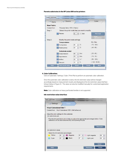#### **Parents substrates in the HP Latex 800 series printers**

| Name              | Source                         | Settings                                      | Color                 |
|-------------------|--------------------------------|-----------------------------------------------|-----------------------|
| <b>New Fabric</b> |                                |                                               |                       |
| Created from:     | Polyester fabric-150% (Fabric) |                                               |                       |
| Step 1:           |                                | Select the print mode that you want to modify |                       |
|                   | <b>D</b> Passes:               | Bidi<br>6                                     | <b>Print test</b>     |
|                   |                                |                                               | Print<br>adjustment   |
| Step 2:           | Modify the print mode settings |                                               |                       |
|                   | Temperatures                   |                                               | Min.-Max.             |
|                   | Curing temp:                   | °C<br>싉<br>85                                 | $(70 - 100)$          |
|                   | Heating temp:                  | $\Leftrightarrow$ 'C<br>55                    | $(45 - 60)$           |
|                   | Substrate control              |                                               |                       |
|                   | O Output tension:              | Nim<br>۲<br>60                                | $(25 - 65)$           |
|                   | O Input tension:               | N/m<br>싉<br>75                                | $(75 - 75)$           |
|                   | Airflow:                       | 싉<br>$\sim$<br>50                             | $(50 - 100)$          |
|                   | Vacuum:                        | $\mathcal{N}_\mathrm{p}$<br>쉐<br>15           | $(1.00 - 35.00)$      |
| Help              | Print mode table               | <b>Reset</b>                                  | Finish<br><b>Next</b> |

#### **4. Color Calibration:**

Click on Substrate / Settings / Color / Print Plot to perform an automatic color calibration.

Once the automatic color calibration is done, the ink restriction value will be changed accordingly based on measurement results and displayed at the ink restriction value interface (shown below in Figure 3). The value can also be modified manually for customized application requirements

**Note:** Color calibration on heavy perforated textiles is not supported.

#### **Ink restriction value interface**

| Settings                                                               |                                               | Calar    |    |   |                |            |
|------------------------------------------------------------------------|-----------------------------------------------|----------|----|---|----------------|------------|
| <b>Vinyl Calendered Sbk T</b>                                          |                                               |          |    |   |                |            |
| Created from: Vinyl-Calendered-100% (Self adhesive)                    |                                               |          |    |   |                |            |
| Adjust the color settings for this substrate:<br>Ink restrictions plot |                                               |          |    |   |                |            |
|                                                                        |                                               |          |    |   |                |            |
|                                                                        |                                               |          |    |   |                | Print plot |
| Ink restriction values                                                 |                                               |          |    |   |                |            |
| Yellow                                                                 | Adjust the ink restriction percentages.<br>89 | Magenta: | 89 | 승 | Light magenta: | ÷<br>89    |
| Cyan:                                                                  | ₩<br>89                                       | Black:   | 97 | 싂 | Light cyan:    | ₩<br>89    |
|                                                                        |                                               |          |    |   |                | Reset      |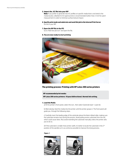#### **5. Import the .ICC file into your RIP**

**Note:** If you prefer to generate new ICC profiles on specific media that is not listed in the media locator, a Barbieri 6 mm aperture lens is recommended (rather than 2 mm) for patch measurement in order to minimize surface texture impact.

#### **6. Specify print mode and substrate and send this job to the Internal Print Server** Do this in your RIP.

#### **7. Open the RIP file in the IPS**

Go to "Add new job icon" and open the file.

#### **8. You are now ready to start printing**



#### **The printing process: Printing with HP Latex 200 series printers**

#### **HP recommended print modes**

**HP Latex 200 series printers: 10 pass bidirectional. Normal ink setting.**

#### **1. Load the Media**

a) At the printer's front panel, select the icon , then select Substrate load > Load roll.

b) Alternatively, feed the media into the printer until the printer grasps it. The front panel will guide you through the following steps.

c) Carefully insert the leading edge of the substrate above the black-ribbed roller, making sure the substrate remains taut during the process. Avoid pulling excess substrate from the roll, which could cause skew. Also avoid rewinding the substrate manually unless the printer asks you to do so.

d) If the substrate is smaller than printer width, it's better to locate the substrate in the 2<sup>nd</sup> position of the spindle so it is as central as possible to improve the drying process.

#### **Figure 1**



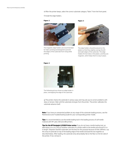e) After the printer beeps, select the correct substrate category "fabric" from the front panel.

f) Install the edge holders.

#### **Figure 2**



The magnetic edge holders are recommended for fabric printing and designed to prevent the edges of the substrate from rising while printing.

**Figure 3**



The edge holders should be placed on the platen so that they slightly overlap the left and right edges of the substrate. The edge holders fit into holes in the platen, and they are magnetic, which helps them to stay in place.

#### **Figure 4**



The following picture shows an edge holder in place, overlapping the edge of the substrate.

g) The printer checks the substrate in various ways and may ask you to correct problems with skew or tension. Wait until the substrate emerges from the printer. The printer calibrates the substrate advance itself.

**Note:** If you have an unexpected problem at any stage of the substrate loading process, see the Maintenance and Troubleshooting Guide for your corresponding printer model.

**Tips:** It is recommended to use the textile loading tool in the loading process of soft textile material with HP Latex 260 and 280 printers.

**Tips for the HP Designjet L25500 Printer series:** If you do not have a textile loading tool, an alternative is to cut a strip of another substrate of a similar width to the textile and around 0.5 m in length. Polyester (backlit) substrates are the best for this purpose because of their stiffness. Lay this strip of substrate on top of the leading edge of the textile and load the two together as described below. After loading, the substrate strip will probably fall on the floor on the far side of the printer; if not, remove it.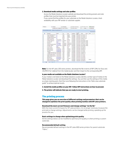#### **2. Download media settings and color profiles**

Access the Media Solutions Locator website and download the printing presets and color profiles that must be imported into your printer.

If you cannot find the profiles for your substrate on the Media Solutions Locator, check availability with your RIP vendor or substrate supplier.

| All Regions |                                               | M. HE Lates |                                                      | Soft righter         |                            |                                 | Select a mada have                      | Exter Search Text.                           |                | <b>SG Roadt Starch</b>     |
|-------------|-----------------------------------------------|-------------|------------------------------------------------------|----------------------|----------------------------|---------------------------------|-----------------------------------------|----------------------------------------------|----------------|----------------------------|
|             |                                               |             | HP EASIX 230 / HP DUASY! M. ( Subst a supplie        |                      |                            | 50000.0.0300                    |                                         |                                              | <b>Search</b>  | <b>Counting Even</b>       |
|             | <b>Pleylia Solutions Listature</b>            |             | <b>Bomber of motorist hour r 214</b>                 |                      |                            |                                 |                                         |                                              |                |                            |
|             |                                               |             |                                                      |                      |                            |                                 |                                         |                                              |                | <b>Excel Insertal City</b> |
| Q           | <b>Hode liams</b>                             |             | <b>Societ</b>                                        | Type                 | <b>Grade</b>               | <b>Aspitostons</b>              | <b>Compatta</b><br><b>Models</b>        | Esport                                       | Cased:   Weart |                            |
|             | 19 List Texte Sachy Server                    |             | ÷                                                    | <b>Textile</b>       | Actualder                  | Schwarzen                       |                                         | IR Laws DS11 Rolls America 107               |                |                            |
|             | <b>RP Has to Taylor Senior!</b>               |             | Ħ                                                    | Taxilla              | <b>Hotvester</b>           | <b>BAT EQIAGE</b>               |                                         | HPLEN/2011 RETEAM (EA)                       |                |                            |
|             | 87 Durchie Frankli Scinn Banner, Inf          |             |                                                      | <b>Barner</b>        | Reported (RVC)             | Self-panece                     |                                         | HP Later 200 11 Rock America: 607            |                |                            |
|             | AP DuRent Toyota Section                      |             | 퍈                                                    | <b>Saine</b>         | Tovek                      | Schooner-                       | HP (www.2007) www.Pacific.com NP        |                                              |                |                            |
|             | <b>Theologic Light Palott PB</b>              |             | Aritma & Hillers                                     | Textile              | Ritmedien                  | Schepiege                       |                                         | HELEN 25011 LES AVECULA                      |                |                            |
|             | Comster * #1000.0-91                          |             | IM Commercial Or                                     | <b>Sef</b> sthems    | Cast vind-                 | Sett agrees.                    | HPLANS 2007) Europa Videla E. Carifice  |                                              |                |                            |
|             | Extra litt 5ht                                |             | Trentos                                              | Toutle               | Canuse                     | Saft signed                     | Influenciabili Europe Vaste E. Continue |                                              |                |                            |
|             | 100 10 US R.J                                 |             | Army Tradition                                       | <b>Tell</b> admitted | Calendar 45 146            | TH'S Algebra                    |                                         | HP Lewis 2001 F. Alex Pacific Ltd. Card Tech |                |                            |
|             | AVA 2010 or VAN 2012 Made Pent Aurey Creation |             |                                                      | Lef's distant        |                            | Calendaries (Inc. Seft excepts) |                                         | AP LESS 20019 ROTE America: Carollect        |                |                            |
|             | Carerated <sup>ro</sup> U100-18               |             | <b>28 Contractive! Dr.,</b>                          | <b>Salf advance</b>  | Castrollut                 | Schauser.                       |                                         | HP Lease 200 TX Bureck Vision E. Central     |                |                            |
|             | Canves 501 CPO                                |             | Dadox                                                | Taylor               | Cancas                     | <b>THR</b> expenses             |                                         | PP-Lates 200-TV Raincle-USSIN T              |                |                            |
|             | \$1004.155 PER FE                             |             | Preudentient                                         | Textok               | Other                      | Set agrees                      |                                         | INFLANK 2001 9 Latit America B               |                |                            |
|             | Seanau Russ Eatries                           |             | Versicht hider                                       | Denner               | <b><i>Regista IPVC</i></b> | Dark alankak                    |                                         | HP Lakes 200 11 Alace Pacific can            |                |                            |
|             | <b>Furn Insight Business</b>                  |             | <b>Yearing hidde</b>                                 | Terrori              | Forda BVC                  | Self-aquege.                    |                                         | HP Laise 200 11 Buch America:                |                |                            |
|             | <b>INDIAN COLL</b>                            |             | <b>VW14036 PAD</b>                                   | <b>Barner</b>        | Promotivity                | Schepisco                       |                                         | HPLAN: 2007 FRETT AMPROL                     |                |                            |
|             | TT Flasiator Deutre Face Fil152               |             | Arres & Itales                                       | Taylor.              | <b><i>Fishvaanar</i></b>   | Saft a crace                    |                                         | HP Lakes 2001 K Hale Pacific Leo             |                |                            |
|             |                                               |             | 77 Electrics Ventus Denner 1873, Justice's & Holens. | <b>Touche</b>        | Roberter                   | On'll eignings.                 | 107 Lates 20011 Assa Pacific Lac        |                                              |                |                            |
| ×           | Mediated Substitutions (NR 210)               |             | Anters & Milete                                      | Texte                | Romane                     | Schupser.                       |                                         | RR Large 200.19 Ronte Avenue,                |                |                            |
|             | Matiatex CalifiCanville BVV 220               |             | <b>Arters &amp; Waters</b>                           | Takes                | <b>Fistivated</b>          | EST HOMES                       |                                         | HPLAN+2001+ Narth America:                   |                |                            |
| ٠           | Diploy House 21                               |             | <b>Daniel Scottline</b>                              | Textile              | 00001                      | Softwares,                      | Hilf Latins 200 FF Parson Watch T       |                                              |                |                            |
|             | <b>Eighes Frentz late</b>                     |             | From Namily                                          | Renter               | Point PVC                  | Schageage                       |                                         | <b>RELEAS 10014 Rules Limit F</b>            |                |                            |
|             | Deres HOPOPHEE                                |             | Aurus Taxban                                         | Tavas                | Center                     | Est borsos                      |                                         | HPLANK20071 Exhibit 10009 E                  |                | <b>Janers</b>              |
|             | 31401 Forder-Oct 103u disease 9 Equation      |             |                                                      | Tür.                 | Frontic                    | Schalpage.                      | HP Lease 200 Hr Lath America D          |                                              |                |                            |

**Note:** For the HP Latex 200 series printers, download the file in terms of RIP (.OML for Onyx and . CALPATCH for Caldera) from the media locator and then import to the corresponding RIP.

#### **Is your media not available on the Media Solutions Locator?**

If your media is not listed on the Media Solutions Locator, identify a similar type of media on the Media Solutions Locator and download the settings. You can then use the settings of this media as a basic starting point, then fine-tune following the instructions in the "Add a new substrate guide" to achieve optimal results.

#### **3. Install the media profiles on your RIP. Follow RIP instructions on how to proceed.**

**4. The printer will indicate that you are ready to start printing.**

#### **The printing process**

**This page gives you an overview of different settings and parameters that can be changed to optimize the print quality when printing textiles with HP Latex printers.** 

#### **Download the most current firmware and change settings "on the fly"**

With the most current firmware for HP Latex printers, it is no longer necessary to pause the print job to change settings. Adjustments can be changed while printing, speeding up the process for you.

#### **Basic settings to change when optimizing print quality**

All the settings below can be modified to optimize print quality or when printing a custom substrate.

#### **Recommended default setting**

Recommended default settings in the HP Latex 800 series printers for parent substrate "Fabric."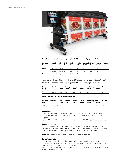

**Table 1. Application of outdoor temporary textile/flag and backlit/light box displayy**

| Substrate<br>family | Printmode    | Ink<br>level | <b>Drying</b><br>Temp | Curing<br>Temp | Heating<br>Airflow | Autotracking Input<br>(OMAS) | Tension | <b>Output</b><br>Tension | Vacuum |
|---------------------|--------------|--------------|-----------------------|----------------|--------------------|------------------------------|---------|--------------------------|--------|
| Fabric              | 10 Pass Bidi | 250% 55      |                       | 85             | 60                 | Yes                          | 55.     | 40                       | 15.    |
|                     | 6 Pass Bidi  | 150% 55      |                       | 95             | 50                 | Yes                          | 65      | 50                       | 15.    |
| Fabric              | 12 Pass Bidi | High 55      |                       | 100            | 35                 | Yρς                          |         |                          | 20     |

Recommended default settings in the HP Latex 200 series printers for parent substrate "Fabric."

#### **Table 2. Application of outdoor temporary textile/flag and backlit/light box display**

| family | Substrate Printmode | <b>Ink</b><br>level | <b>Drving</b><br>Temp | Curing<br>Temp | Heating<br>Airflow | Autotracking Input<br>(OMAS) | Tension | Vacuum |
|--------|---------------------|---------------------|-----------------------|----------------|--------------------|------------------------------|---------|--------|
| Fabric | 12 Pass Bidi        | Hiah                | 55                    | 100            | 35                 | Yρς                          |         | 20     |

#### **Table 3. Application of indoor temporary textile:**

| family | Substrate Printmode | Ink<br>level | <b>Drving</b><br>Temp | Curing<br>Temp |    | Autotracking Input<br>(OMAS) | Tension | Vacuum |
|--------|---------------------|--------------|-----------------------|----------------|----|------------------------------|---------|--------|
| Fabric | 12 Pass Bidi Normal |              | 55.                   | 95             | 30 | Yρς                          | ר ו     | 20     |

#### **Print Modes**

There are many print modes available for optimizing productivity and image quality. For the HP Latex 850 Printer, the substrate type "Fabric-Polyester 250%" includes 10, 14, and 18 passes.

For the HP Latex 260 Printer, the high ink level allows 12, 16, 20, 24, and 28 pass printing.

#### **Number of Passes**

Specifies how many times the printheads print over the same area of the surface. The higher the number of passes, the higher the print quality and color vibrancy, however print speed is lower. HP recommends changing the number of passes by one step at a time.

**Note:** Print modes with less than 6 passes are printed unidirectional.

#### **Curing Temperature**

Curing is needed to coalescence the latex particles, creating a polymeric film which acts as a protective layer, while at the same time removing the remaining liquid from the print. Curing is vital to ensure the durability of the printed image.

HP recommends changing temperature in steps of 5˚ C (41˚ F) as many times as needed since textiles are sensitive to heat.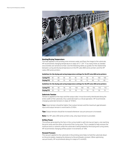

#### **Heating/Drying Temperature**

The heat applied in the printing zone removes water and fixes the image to the substrate. HP recommends changing temperature in steps of 5˚ C (41˚ F) as many times as needed since textiles are sensitive to heat. Use the following tables as guides for the relationship between curing and drying temperature on the HP Latex 800 series printers and the HP Latex 200 series printers.

#### **Guidelines for the drying and curing temperature settings for the HP Latex 800 series printers**

| <b>Curing (°C)</b> 85 80 85 85 85 |  |  |       | 90 90 95 | 100 | 100 |  |
|-----------------------------------|--|--|-------|----------|-----|-----|--|
| <b>Drying (°C)</b> 55 60 55 60 55 |  |  | 60 55 | 60 55    |     | -60 |  |

**Guidelines for the drying and curing temperature settings for the HP Latex 200 series printers**

| <b>Curing (°C)</b> 90 | - 90 |  | 100 | 100 |  |  |
|-----------------------|------|--|-----|-----|--|--|
| Drying $(°C)$ 50      | - 55 |  | 50  |     |  |  |

#### **Substrate Tension**

Tension is applied at the input and the output side. It must be evenly distributed along the entire width of the substrate, thus substrate load is a critical operation. HP recommends changing substrate tensions in steps of 10 N/m.

**Tips:** Input tension should be higher than output tension and the maximum gap between input and output tension is restricted to 25 N/m.

**Tips:** Output tension should be increased whenever vacuum pressure is increased.

**Note:** For HP Latex 200 series printers only, only input tension is provided.

#### **Airflow Power**

The airflow generated by the fans in the curing model is split into two air layers, one reaching the print zone and the other at the end of the curing zone. This is needed to help remove the moisture and co-solvents while the substrate is being heated by the drying and curing zones. HP recommends changing airflow power in increments of 10%.

#### **Vacuum Pressure**

The vacuum applied to the substrate in the printing zone helps to hold the substrate down on the print platen, keeping the distance to the printheads constant. When optimizing vacuum levels, HP recommends doing it in steps of 5 mmH2O.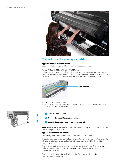

# **Tips and tricks for printing on textiles**

#### **Apply accessory to prevent wrinkles**

Because of the tendency of textile to stretch, wrinkles commonly occur.

#### *For the HP Scitex LX800 and HP Latex 820/850 printers*

Use the tension increment for efficient adjustment. To address tension difference between the center and edge of the media during printing, use the output diverter roll to synchronize tension across the media roll to avoid wrinkles that can result in a printhead crash.



*For the HP Latex 200 series printers*

The approach is similar to that for the HP Latex 800 series printers, however, because no output roll is provided, we recommend:

**<u></u>** Lower the loading table

#### **Use the take-up roll to collect the printout**

#### **Apply the loop shaper playing output tension role**

**Note:** For the HP Designjet L25500 Printer series without the loop shaper, use the heavy media core instead, per the figure below.

#### **Apply curing plate to maintain heat**

*This only applies for the HP Scitex LX800 and HP Latex 820/850 printers.* 

The curing plate must always be lifted up in a horizontal position for textile printing, unless the ink collector is installed for porous textile printing, because they conflict with each other mechanically.

The metal curing plate reflects an infrared beam that penetrates through the media, helping maintain heat to dry/cure the ink on the substrate more efficiently, and keeping the temperature sensor working properly.

Please refer to the "Image Quality Troubleshooting Guide" for more information. See [hp.com/go/LX850/media](http://www.hp.com/go/LX850/media)

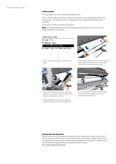#### **Textile Loading**

*This only applies for the HP Latex 260 and 280 printers.* 

Due to certain elasticity of textiles, loading work becomes tough while leading media to the printing zone. The loading accessory is designed to help in loading banner/textile/mesh substrates.

The process to utilize the loading accessory is:

**Note:** The media loading tool for the HP Latex 820 and 850 printers can also be used for loading textiles on those printers.

| Substrate load              |
|-----------------------------|
| ▶Load roll                  |
| Manual load                 |
| ► Load with accessory       |
| ► Learn how to load spindle |
|                             |
|                             |
|                             |

1 Select "Load with accessory" from the front panel.



- 3 Flip the white flaps back to cover the leading edge of the substrate. The black patches are magnetic and grip the substrate.
- 4 The loading accessory passes through the printer's substrate path with the substrate.



2 Lay the textile loading accessory on the loading table and put textile substrate leading edge from the roll on the loading accessory.



5 Once the substrate has been loaded, simply remove the textile loading accessory by opening the black patches.

#### **Ink load and color saturation**

High ink loads are recommended to maximize the color saturation in textiles, but too much ink may obscure details and ink may run through to the back of lighter weight textiles. Hence, utilizing the right settings for the specific media and application is essential. To obtain a list of recommended settings, please go to the Media Solutions Locator: [hp.com/go/mediasolutionslocator](http://www.hp.com/go/mediasolutionslocator)